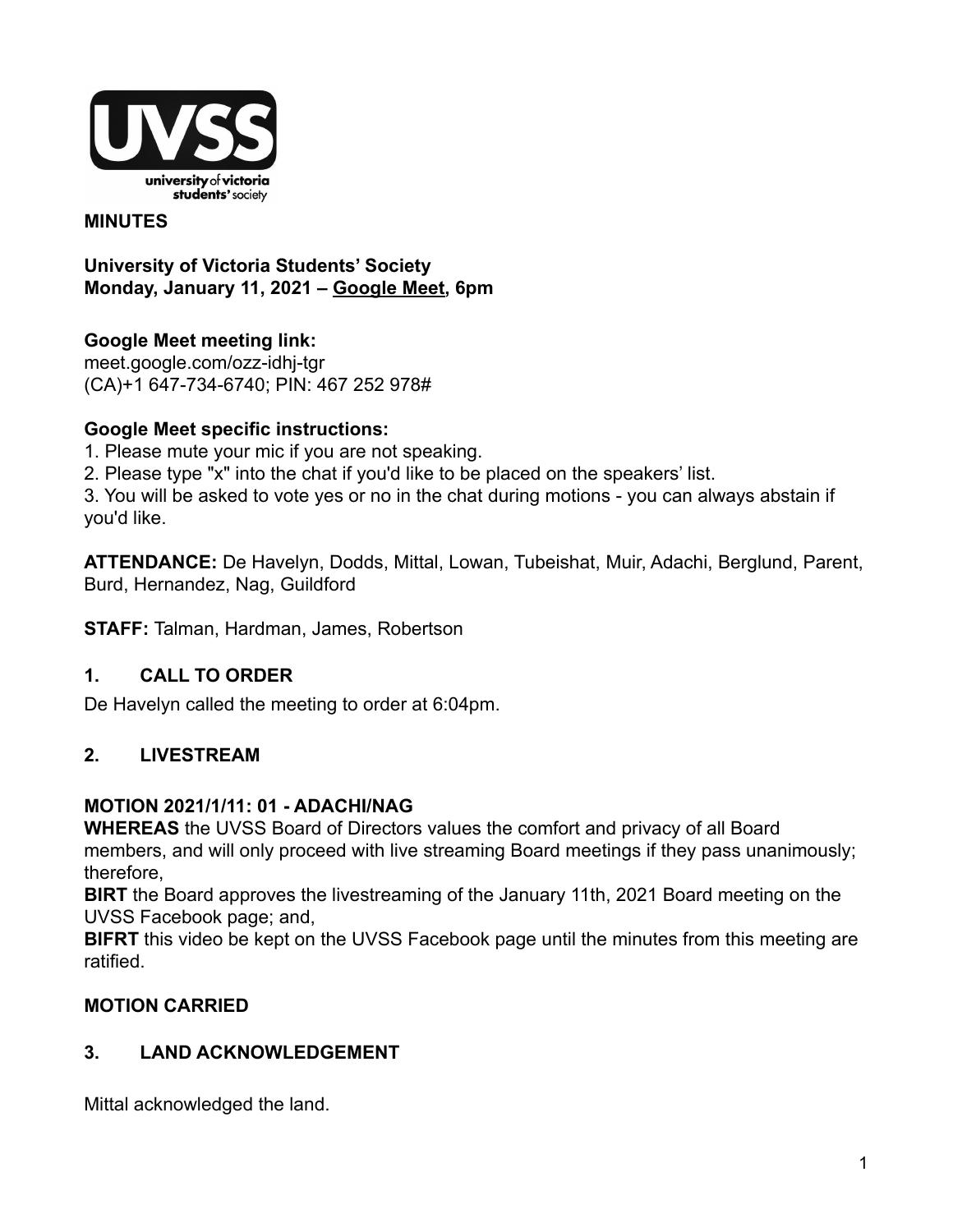

#### **MINUTES**

**University of Victoria Students' Society Monday, January 11, 2021 – [Google Meet,](http://meet.google.com/ozz-idhj-tgr) 6pm**

**Google Meet meeting link[:](https://us02web.zoom.us/j/84726203931?pwd=bGNKTElKZEFIWkNvRlY2TFBqb3dQUT09)** [meet.google.com/ozz-idhj-tgr](https://meet.google.com/ozz-idhj-tgr?hs=122&authuser=2) (CA)+1 647-734-6740; PIN: 467 252 978#

#### **Google Meet specific instructions:**

- 1. Please mute your mic if you are not speaking.
- 2. Please type "x" into the chat if you'd like to be placed on the speakers' list.

3. You will be asked to vote yes or no in the chat during motions - you can always abstain if you'd like.

**ATTENDANCE:** De Havelyn, Dodds, Mittal, Lowan, Tubeishat, Muir, Adachi, Berglund, Parent, Burd, Hernandez, Nag, Guildford

**STAFF:** Talman, Hardman, James, Robertson

#### **1. CALL TO ORDER**

De Havelyn called the meeting to order at 6:04pm.

# **2. LIVESTREAM**

#### **MOTION 2021/1/11: 01 - ADACHI/NAG**

**WHEREAS** the UVSS Board of Directors values the comfort and privacy of all Board members, and will only proceed with live streaming Board meetings if they pass unanimously; therefore,

**BIRT** the Board approves the livestreaming of the January 11th, 2021 Board meeting on the UVSS Facebook page; and,

**BIFRT** this video be kept on the UVSS Facebook page until the minutes from this meeting are ratified.

#### **MOTION CARRIED**

#### **3. LAND ACKNOWLEDGEMENT**

Mittal acknowledged the land.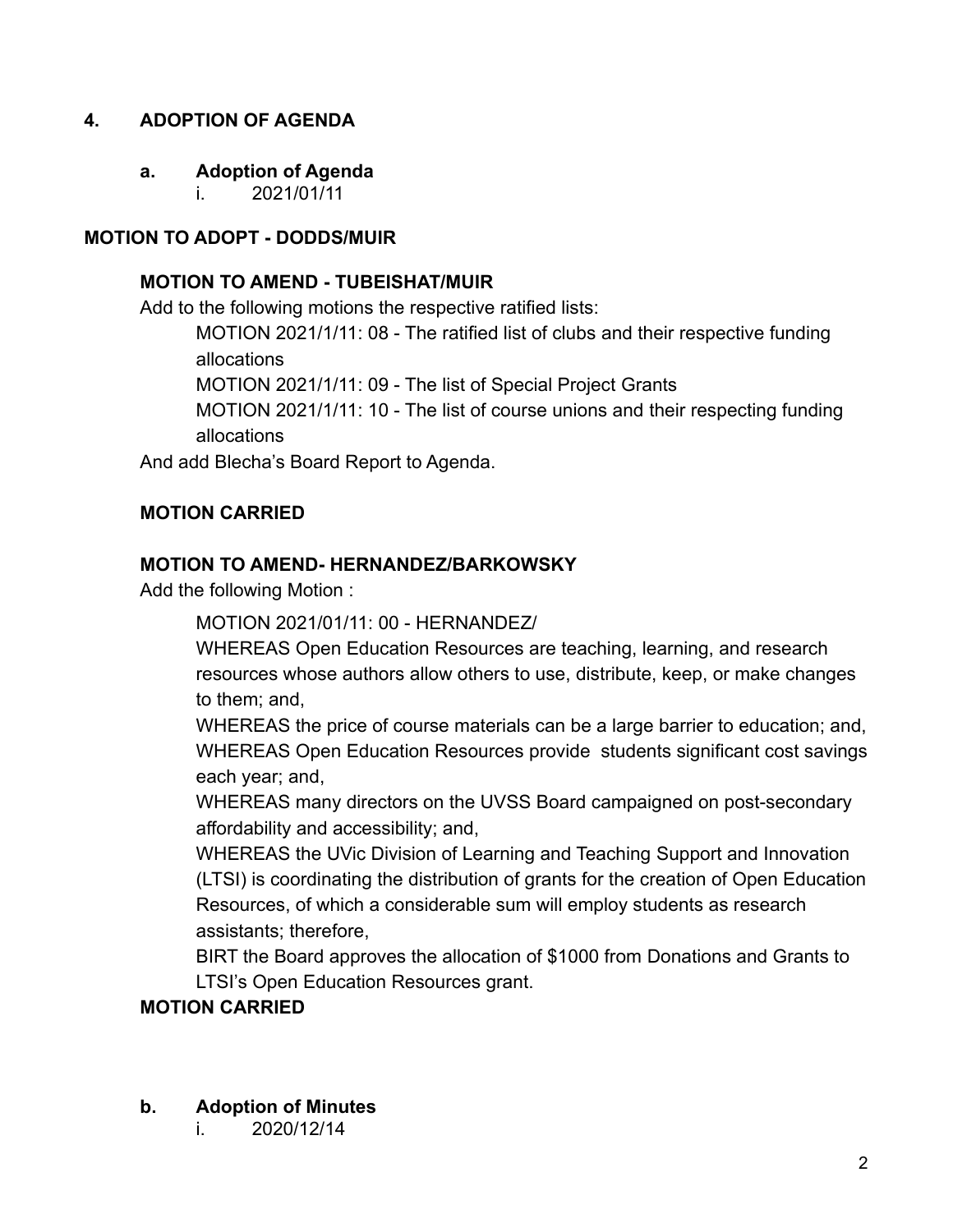## **4. ADOPTION OF AGENDA**

#### **a. Adoption of Agenda**

i. 2021/01/11

#### **MOTION TO ADOPT - DODDS/MUIR**

#### **MOTION TO AMEND - TUBEISHAT/MUIR**

Add to the following motions the respective ratified lists:

MOTION 2021/1/11: 08 - The ratified list of clubs and their respective funding allocations

MOTION 2021/1/11: 09 - The list of Special Project Grants

MOTION 2021/1/11: 10 - The list of course unions and their respecting funding allocations

And add Blecha's Board Report to Agenda.

#### **MOTION CARRIED**

#### **MOTION TO AMEND- HERNANDEZ/BARKOWSKY**

Add the following Motion :

MOTION 2021/01/11: 00 - HERNANDEZ/

WHEREAS Open Education Resources are teaching, learning, and research resources whose authors allow others to use, distribute, keep, or make changes to them; and,

WHEREAS the price of course materials can be a large barrier to education; and, WHEREAS Open Education Resources provide students significant cost savings each year; and,

WHEREAS many directors on the UVSS Board campaigned on post-secondary affordability and accessibility; and,

WHEREAS the UVic Division of Learning and Teaching Support and Innovation (LTSI) is coordinating the distribution of grants for the creation of Open Education Resources, of which a considerable sum will employ students as research assistants; therefore,

BIRT the Board approves the allocation of \$1000 from Donations and Grants to LTSI's Open Education Resources grant.

#### **MOTION CARRIED**

#### **b. Adoption of Minutes**

i. 2020/12/14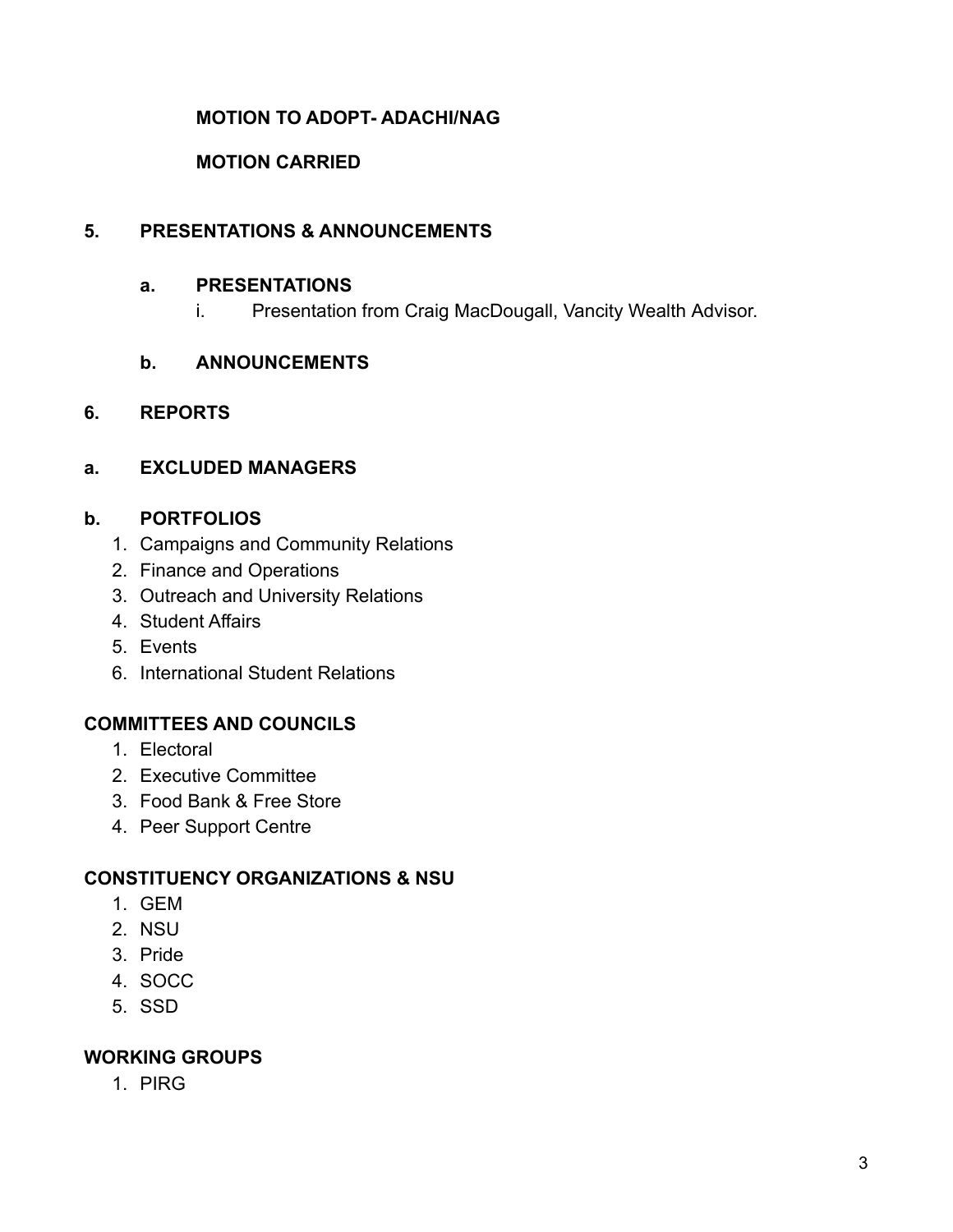## **MOTION TO ADOPT- ADACHI/NAG**

#### **MOTION CARRIED**

## **5. PRESENTATIONS & ANNOUNCEMENTS**

#### **a. PRESENTATIONS**

i. Presentation from Craig MacDougall, Vancity Wealth Advisor.

#### **b. ANNOUNCEMENTS**

#### **6. REPORTS**

#### **a. EXCLUDED MANAGERS**

#### **b. PORTFOLIOS**

- 1. Campaigns and Community Relations
- 2. Finance and Operations
- 3. Outreach and University Relations
- 4. Student Affairs
- 5. Events
- 6. International Student Relations

#### **COMMITTEES AND COUNCILS**

- 1. Electoral
- 2. Executive Committee
- 3. Food Bank & Free Store
- 4. Peer Support Centre

#### **CONSTITUENCY ORGANIZATIONS & NSU**

- 1. GEM
- 2. NSU
- 3. Pride
- 4. SOCC
- 5. SSD

#### **WORKING GROUPS**

1. PIRG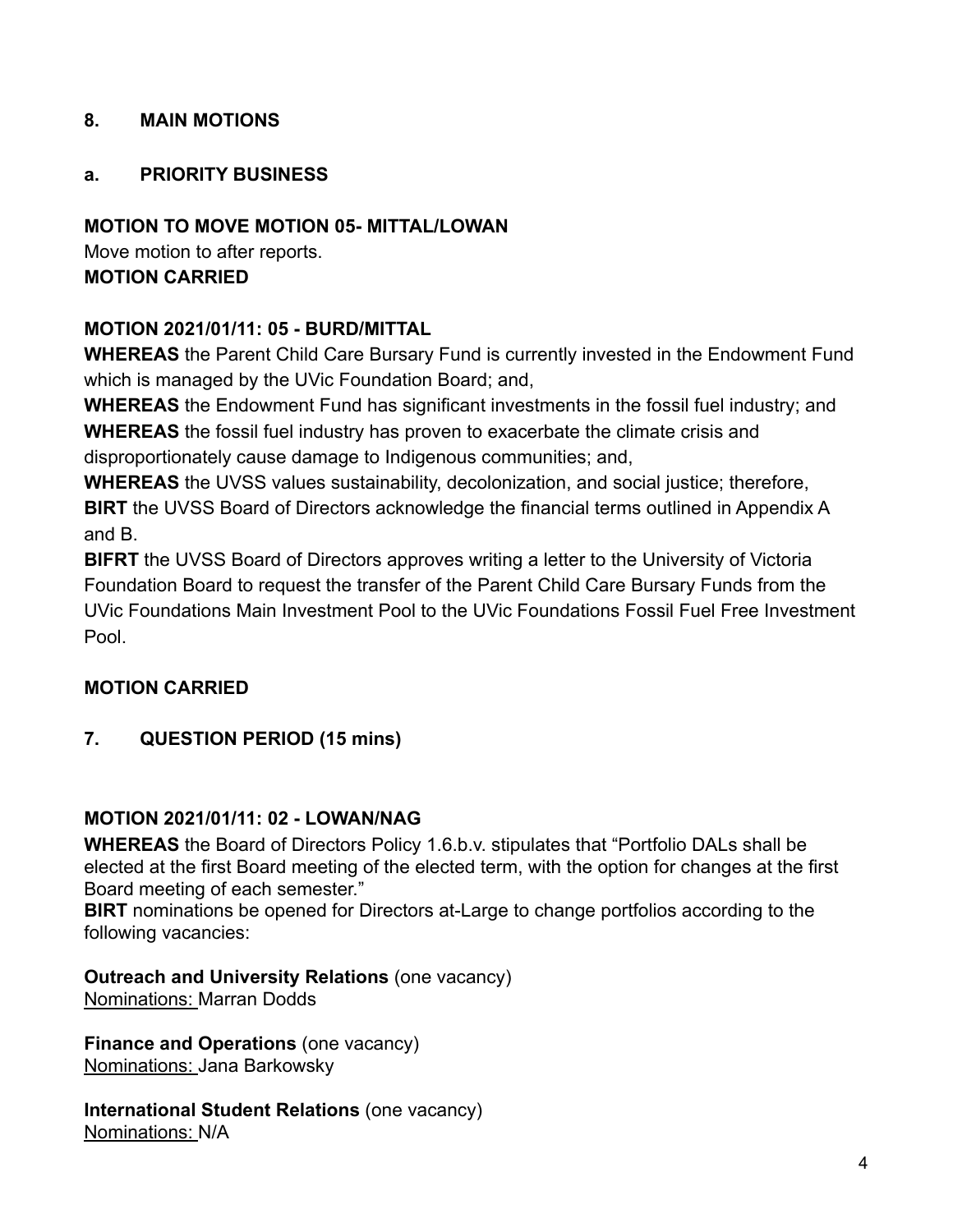### **8. MAIN MOTIONS**

## **a. PRIORITY BUSINESS**

# **MOTION TO MOVE MOTION 05- MITTAL/LOWAN**

Move motion to after reports. **MOTION CARRIED**

# **MOTION 2021/01/11: 05 - BURD/MITTAL**

**WHEREAS** the Parent Child Care Bursary Fund is currently invested in the Endowment Fund which is managed by the UVic Foundation Board; and,

**WHEREAS** the Endowment Fund has significant investments in the fossil fuel industry; and **WHEREAS** the fossil fuel industry has proven to exacerbate the climate crisis and disproportionately cause damage to Indigenous communities; and,

**WHEREAS** the UVSS values sustainability, decolonization, and social justice; therefore, **BIRT** the UVSS Board of Directors acknowledge the financial terms outlined in Appendix A and B.

**BIFRT** the UVSS Board of Directors approves writing a letter to the University of Victoria Foundation Board to request the transfer of the Parent Child Care Bursary Funds from the UVic Foundations Main Investment Pool to the UVic Foundations Fossil Fuel Free Investment Pool.

#### **MOTION CARRIED**

# **7. QUESTION PERIOD (15 mins)**

#### **MOTION 2021/01/11: 02 - LOWAN/NAG**

**WHEREAS** the Board of Directors Policy 1.6.b.v. stipulates that "Portfolio DALs shall be elected at the first Board meeting of the elected term, with the option for changes at the first Board meeting of each semester."

**BIRT** nominations be opened for Directors at-Large to change portfolios according to the following vacancies:

**Outreach and University Relations** (one vacancy) Nominations: Marran Dodds

**Finance and Operations** (one vacancy) Nominations: Jana Barkowsky

**International Student Relations** (one vacancy) Nominations: N/A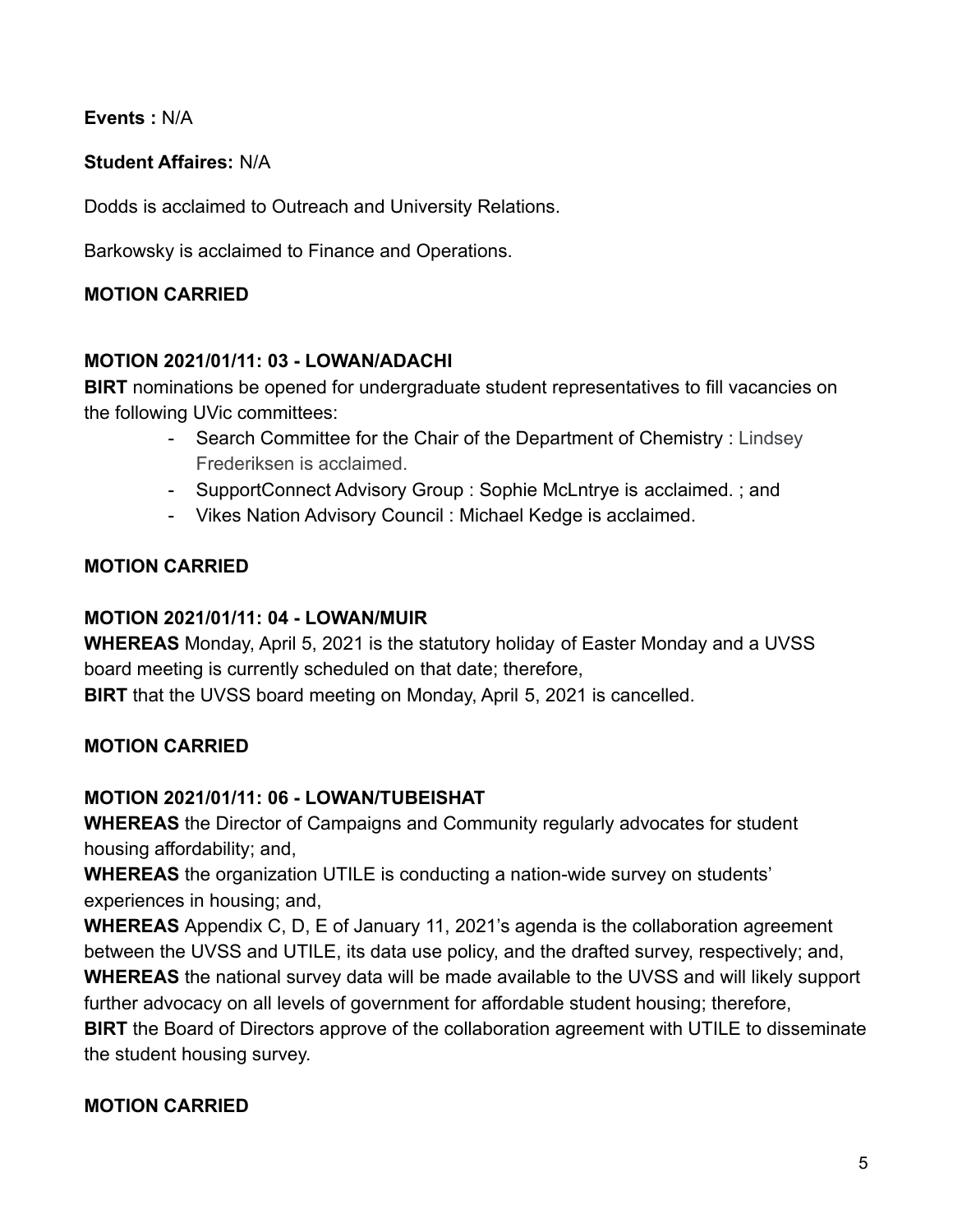**Events :** N/A

# **Student Affaires:** N/A

Dodds is acclaimed to Outreach and University Relations.

Barkowsky is acclaimed to Finance and Operations.

# **MOTION CARRIED**

## **MOTION 2021/01/11: 03 - LOWAN/ADACHI**

**BIRT** nominations be opened for undergraduate student representatives to fill vacancies on the following UVic committees:

- Search Committee for the Chair of the Department of Chemistry : Lindsey Frederiksen is acclaimed.
- SupportConnect Advisory Group : Sophie McLntrye is acclaimed. ; and
- Vikes Nation Advisory Council : Michael Kedge is acclaimed.

# **MOTION CARRIED**

## **MOTION 2021/01/11: 04 - LOWAN/MUIR**

**WHEREAS** Monday, April 5, 2021 is the statutory holiday of Easter Monday and a UVSS board meeting is currently scheduled on that date; therefore, **BIRT** that the UVSS board meeting on Monday, April 5, 2021 is cancelled.

# **MOTION CARRIED**

# **MOTION 2021/01/11: 06 - LOWAN/TUBEISHAT**

**WHEREAS** the Director of Campaigns and Community regularly advocates for student housing affordability; and,

**WHEREAS** the organization UTILE is conducting a nation-wide survey on students' experiences in housing; and,

**WHEREAS** Appendix C, D, E of January 11, 2021's agenda is the collaboration agreement between the UVSS and UTILE, its data use policy, and the drafted survey, respectively; and, **WHEREAS** the national survey data will be made available to the UVSS and will likely support further advocacy on all levels of government for affordable student housing; therefore, **BIRT** the Board of Directors approve of the collaboration agreement with UTILE to disseminate

# the student housing survey.

#### **MOTION CARRIED**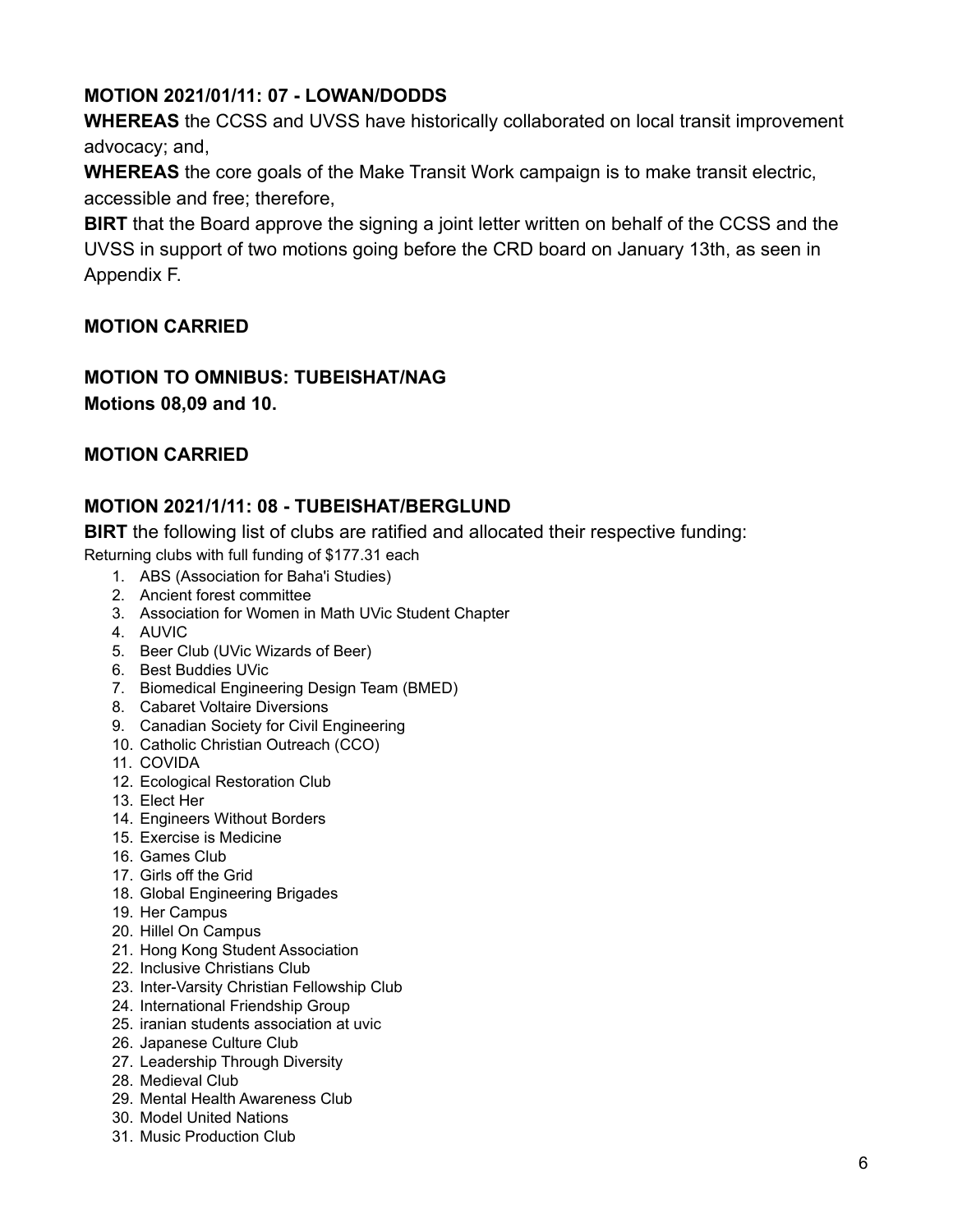# **MOTION 2021/01/11: 07 - LOWAN/DODDS**

**WHEREAS** the CCSS and UVSS have historically collaborated on local transit improvement advocacy; and,

**WHEREAS** the core goals of the Make Transit Work campaign is to make transit electric, accessible and free; therefore,

**BIRT** that the Board approve the signing a joint letter written on behalf of the CCSS and the UVSS in support of two motions going before the CRD board on January 13th, as seen in Appendix F.

## **MOTION CARRIED**

## **MOTION TO OMNIBUS: TUBEISHAT/NAG Motions 08,09 and 10.**

#### **MOTION CARRIED**

#### **MOTION 2021/1/11: 08 - TUBEISHAT/BERGLUND**

**BIRT** the following list of clubs are ratified and allocated their respective funding:

Returning clubs with full funding of \$177.31 each

- 1. ABS (Association for Baha'i Studies)
- 2. Ancient forest committee
- 3. Association for Women in Math UVic Student Chapter
- 4. AUVIC
- 5. Beer Club (UVic Wizards of Beer)
- 6. Best Buddies UVic
- 7. Biomedical Engineering Design Team (BMED)
- 8. Cabaret Voltaire Diversions
- 9. Canadian Society for Civil Engineering
- 10. Catholic Christian Outreach (CCO)
- 11. COVIDA
- 12. Ecological Restoration Club
- 13. Elect Her
- 14. Engineers Without Borders
- 15. Exercise is Medicine
- 16. Games Club
- 17. Girls off the Grid
- 18. Global Engineering Brigades
- 19. Her Campus
- 20. Hillel On Campus
- 21. Hong Kong Student Association
- 22. Inclusive Christians Club
- 23. Inter-Varsity Christian Fellowship Club
- 24. International Friendship Group
- 25. iranian students association at uvic
- 26. Japanese Culture Club
- 27. Leadership Through Diversity
- 28. Medieval Club
- 29. Mental Health Awareness Club
- 30. Model United Nations
- 31. Music Production Club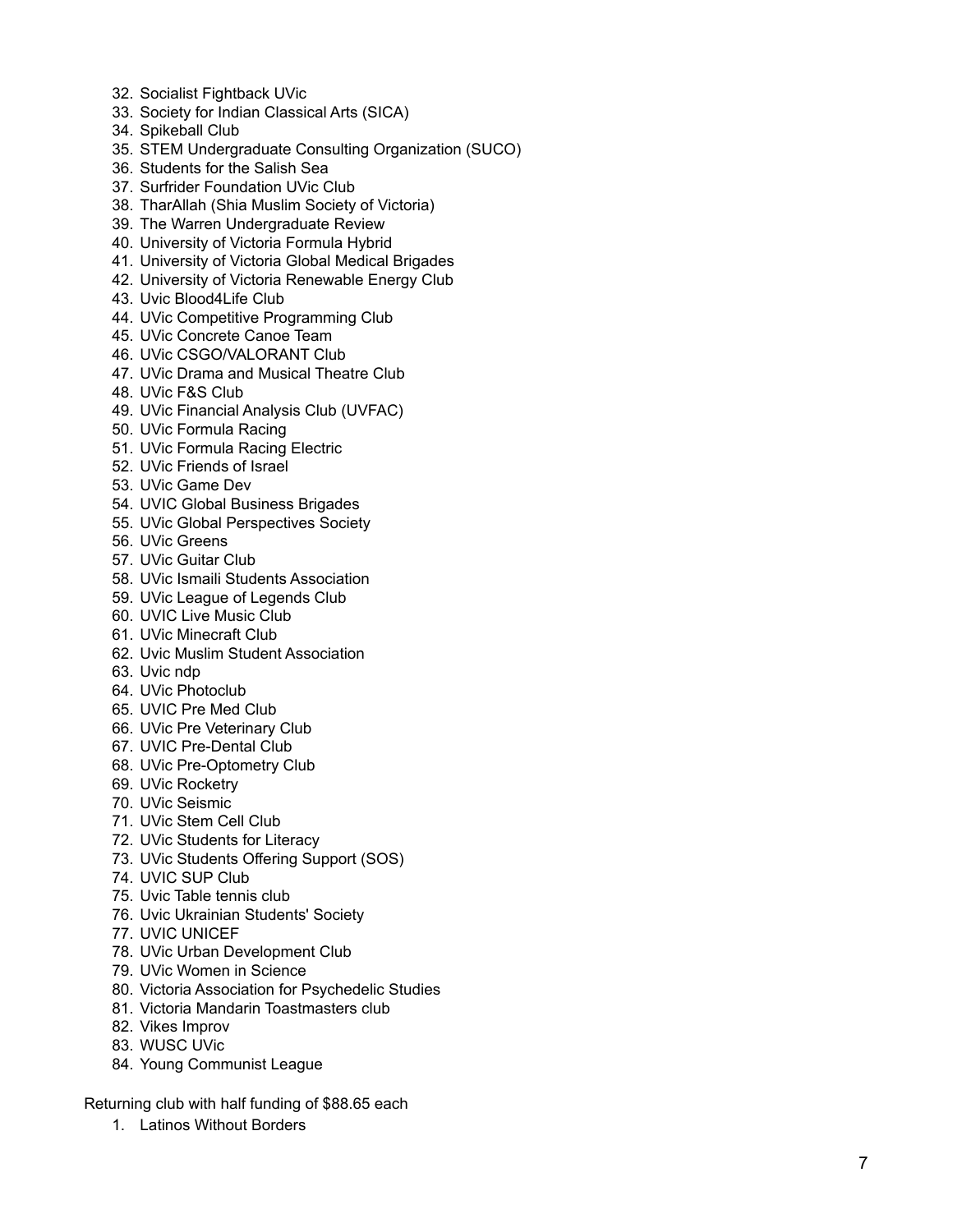- 32. Socialist Fightback UVic
- 33. Society for Indian Classical Arts (SICA)
- 34. Spikeball Club
- 35. STEM Undergraduate Consulting Organization (SUCO)
- 36. Students for the Salish Sea
- 37. Surfrider Foundation UVic Club
- 38. TharAllah (Shia Muslim Society of Victoria)
- 39. The Warren Undergraduate Review
- 40. University of Victoria Formula Hybrid
- 41. University of Victoria Global Medical Brigades
- 42. University of Victoria Renewable Energy Club
- 43. Uvic Blood4Life Club
- 44. UVic Competitive Programming Club
- 45. UVic Concrete Canoe Team
- 46. UVic CSGO/VALORANT Club
- 47. UVic Drama and Musical Theatre Club
- 48. UVic F&S Club
- 49. UVic Financial Analysis Club (UVFAC)
- 50. UVic Formula Racing
- 51. UVic Formula Racing Electric
- 52. UVic Friends of Israel
- 53. UVic Game Dev
- 54. UVIC Global Business Brigades
- 55. UVic Global Perspectives Society
- 56. UVic Greens
- 57. UVic Guitar Club
- 58. UVic Ismaili Students Association
- 59. UVic League of Legends Club
- 60. UVIC Live Music Club
- 61. UVic Minecraft Club
- 62. Uvic Muslim Student Association
- 63. Uvic ndp
- 64. UVic Photoclub
- 65. UVIC Pre Med Club
- 66. UVic Pre Veterinary Club
- 67. UVIC Pre-Dental Club
- 68. UVic Pre-Optometry Club
- 69. UVic Rocketry
- 70. UVic Seismic
- 71. UVic Stem Cell Club
- 72. UVic Students for Literacy
- 73. UVic Students Offering Support (SOS)
- 74. UVIC SUP Club
- 75. Uvic Table tennis club
- 76. Uvic Ukrainian Students' Society
- 77. UVIC UNICEF
- 78. UVic Urban Development Club
- 79. UVic Women in Science
- 80. Victoria Association for Psychedelic Studies
- 81. Victoria Mandarin Toastmasters club
- 82. Vikes Improv
- 83. WUSC UVic
- 84. Young Communist League

Returning club with half funding of \$88.65 each

1. Latinos Without Borders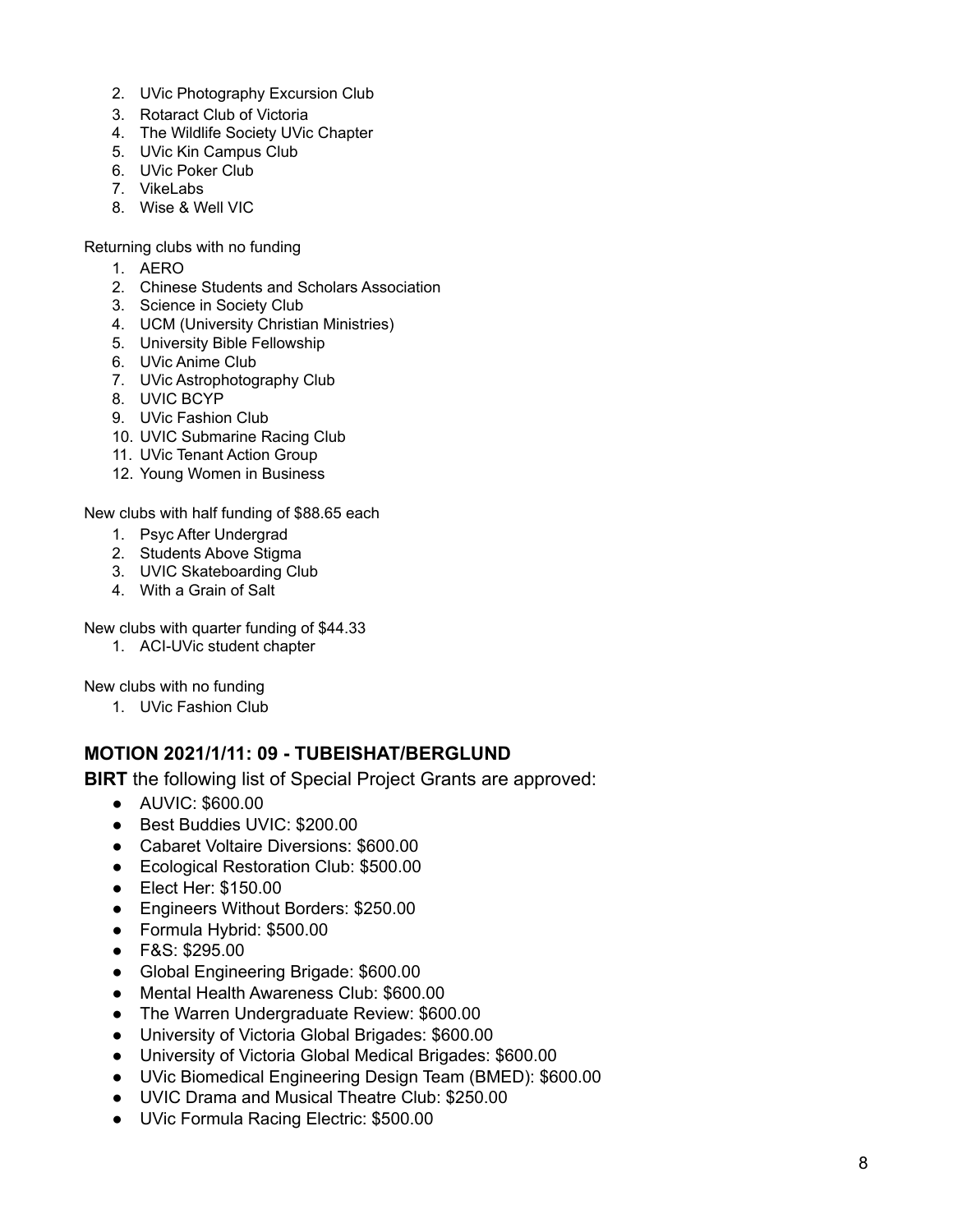- 2. UVic Photography Excursion Club
- 3. Rotaract Club of Victoria
- 4. The Wildlife Society UVic Chapter
- 5. UVic Kin Campus Club
- 6. UVic Poker Club
- 7. VikeLabs
- 8. Wise & Well VIC

Returning clubs with no funding

- 1. AERO
- 2. Chinese Students and Scholars Association
- 3. Science in Society Club
- 4. UCM (University Christian Ministries)
- 5. University Bible Fellowship
- 6. UVic Anime Club
- 7. UVic Astrophotography Club
- 8. UVIC BCYP
- 9. UVic Fashion Club
- 10. UVIC Submarine Racing Club
- 11. UVic Tenant Action Group
- 12. Young Women in Business

New clubs with half funding of \$88.65 each

- 1. Psyc After Undergrad
- 2. Students Above Stigma
- 3. UVIC Skateboarding Club
- 4. With a Grain of Salt

New clubs with quarter funding of \$44.33

1. ACI-UVic student chapter

New clubs with no funding

1. UVic Fashion Club

#### **MOTION 2021/1/11: 09 - TUBEISHAT/BERGLUND**

**BIRT** the following list of Special Project Grants are approved:

- AUVIC: \$600.00
- Best Buddies UVIC: \$200.00
- Cabaret Voltaire Diversions: \$600.00
- Ecological Restoration Club: \$500.00
- Elect Her: \$150.00
- Engineers Without Borders: \$250.00
- Formula Hybrid: \$500.00
- F&S: \$295.00
- Global Engineering Brigade: \$600.00
- Mental Health Awareness Club: \$600.00
- The Warren Undergraduate Review: \$600.00
- University of Victoria Global Brigades: \$600.00
- University of Victoria Global Medical Brigades: \$600.00
- UVic Biomedical Engineering Design Team (BMED): \$600.00
- UVIC Drama and Musical Theatre Club: \$250.00
- UVic Formula Racing Electric: \$500.00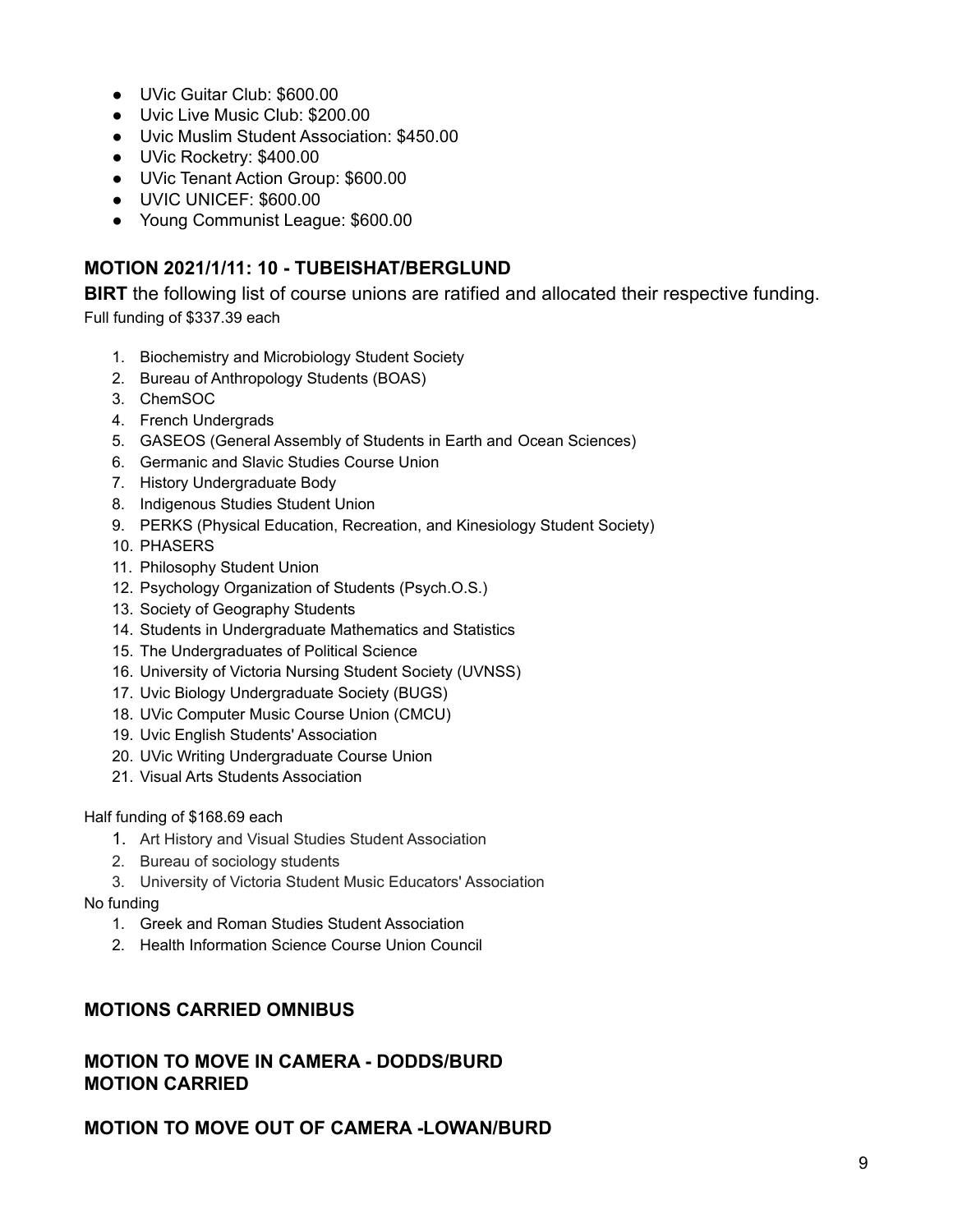- UVic Guitar Club: \$600.00
- Uvic Live Music Club: \$200.00
- Uvic Muslim Student Association: \$450.00
- UVic Rocketry: \$400.00
- UVic Tenant Action Group: \$600.00
- UVIC UNICEF: \$600.00
- Young Communist League: \$600.00

#### **MOTION 2021/1/11: 10 - TUBEISHAT/BERGLUND**

**BIRT** the following list of course unions are ratified and allocated their respective funding. Full funding of \$337.39 each

- 1. Biochemistry and Microbiology Student Society
- 2. Bureau of Anthropology Students (BOAS)
- 3. ChemSOC
- 4. French Undergrads
- 5. GASEOS (General Assembly of Students in Earth and Ocean Sciences)
- 6. Germanic and Slavic Studies Course Union
- 7. History Undergraduate Body
- 8. Indigenous Studies Student Union
- 9. PERKS (Physical Education, Recreation, and Kinesiology Student Society)
- 10. PHASERS
- 11. Philosophy Student Union
- 12. Psychology Organization of Students (Psych.O.S.)
- 13. Society of Geography Students
- 14. Students in Undergraduate Mathematics and Statistics
- 15. The Undergraduates of Political Science
- 16. University of Victoria Nursing Student Society (UVNSS)
- 17. Uvic Biology Undergraduate Society (BUGS)
- 18. UVic Computer Music Course Union (CMCU)
- 19. Uvic English Students' Association
- 20. UVic Writing Undergraduate Course Union
- 21. Visual Arts Students Association

Half funding of \$168.69 each

- 1. Art History and Visual Studies Student Association
- 2. Bureau of sociology students
- 3. University of Victoria Student Music Educators' Association

No funding

- 1. Greek and Roman Studies Student Association
- 2. Health Information Science Course Union Council

#### **MOTIONS CARRIED OMNIBUS**

#### **MOTION TO MOVE IN CAMERA - DODDS/BURD MOTION CARRIED**

**MOTION TO MOVE OUT OF CAMERA -LOWAN/BURD**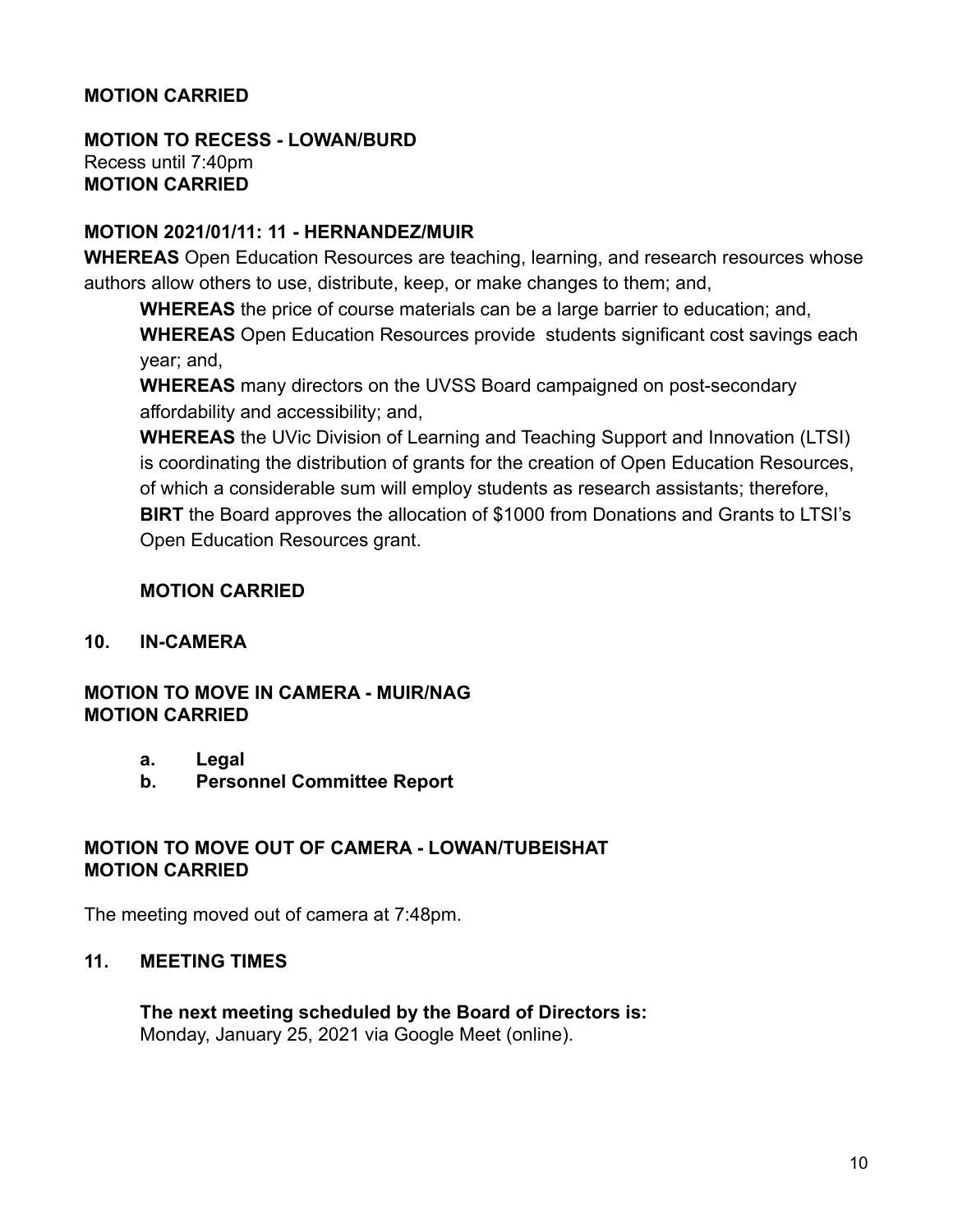#### **MOTION CARRIED**

#### **MOTION TO RECESS - LOWAN/BURD** Recess until 7:40pm **MOTION CARRIED**

#### **MOTION 2021/01/11: 11 - HERNANDEZ/MUIR**

**WHEREAS** Open Education Resources are teaching, learning, and research resources whose authors allow others to use, distribute, keep, or make changes to them; and,

**WHEREAS** the price of course materials can be a large barrier to education; and, **WHEREAS** Open Education Resources provide students significant cost savings each year; and,

**WHEREAS** many directors on the UVSS Board campaigned on post-secondary affordability and accessibility; and,

**WHEREAS** the UVic Division of Learning and Teaching Support and Innovation (LTSI) is coordinating the distribution of grants for the creation of Open Education Resources, of which a considerable sum will employ students as research assistants; therefore, **BIRT** the Board approves the allocation of \$1000 from Donations and Grants to LTSI's Open Education Resources grant.

#### **MOTION CARRIED**

#### **10. IN-CAMERA**

#### **MOTION TO MOVE IN CAMERA - MUIR/NAG MOTION CARRIED**

- **a. Legal**
- **b. Personnel Committee Report**

#### **MOTION TO MOVE OUT OF CAMERA - LOWAN/TUBEISHAT MOTION CARRIED**

The meeting moved out of camera at 7:48pm.

#### **11. MEETING TIMES**

**The next meeting scheduled by the Board of Directors is:** Monday, January 25, 2021 via Google Meet (online).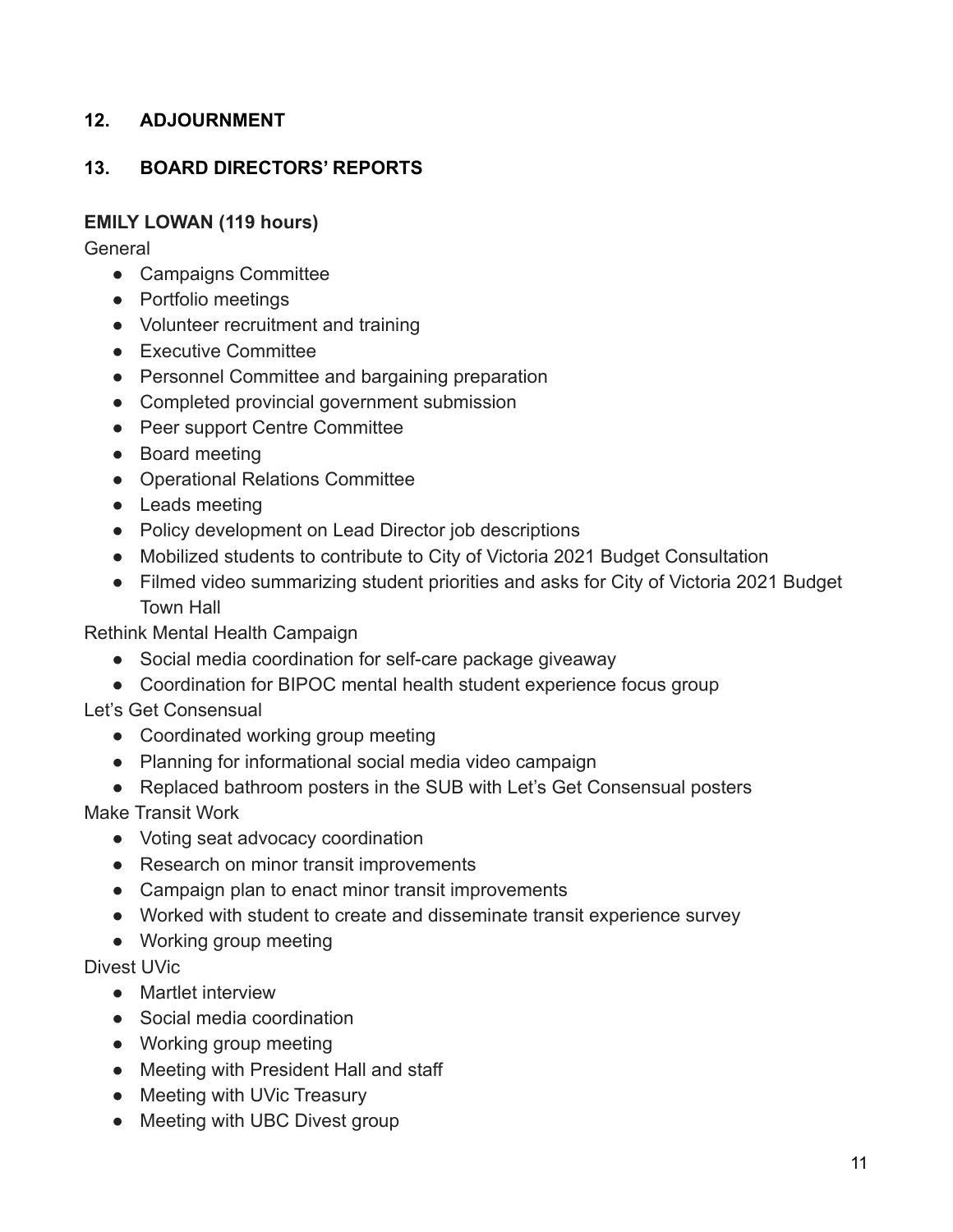# **12. ADJOURNMENT**

## **13. BOARD DIRECTORS' REPORTS**

#### **EMILY LOWAN (119 hours)**

General

- Campaigns Committee
- Portfolio meetings
- Volunteer recruitment and training
- Executive Committee
- Personnel Committee and bargaining preparation
- Completed provincial government submission
- Peer support Centre Committee
- Board meeting
- Operational Relations Committee
- Leads meeting
- Policy development on Lead Director job descriptions
- Mobilized students to contribute to City of Victoria 2021 Budget Consultation
- Filmed video summarizing student priorities and asks for City of Victoria 2021 Budget Town Hall

Rethink Mental Health Campaign

- Social media coordination for self-care package giveaway
- Coordination for BIPOC mental health student experience focus group

Let's Get Consensual

- Coordinated working group meeting
- Planning for informational social media video campaign
- Replaced bathroom posters in the SUB with Let's Get Consensual posters

Make Transit Work

- Voting seat advocacy coordination
- Research on minor transit improvements
- Campaign plan to enact minor transit improvements
- Worked with student to create and disseminate transit experience survey
- Working group meeting

Divest UVic

- Martlet interview
- Social media coordination
- Working group meeting
- Meeting with President Hall and staff
- Meeting with UVic Treasury
- Meeting with UBC Divest group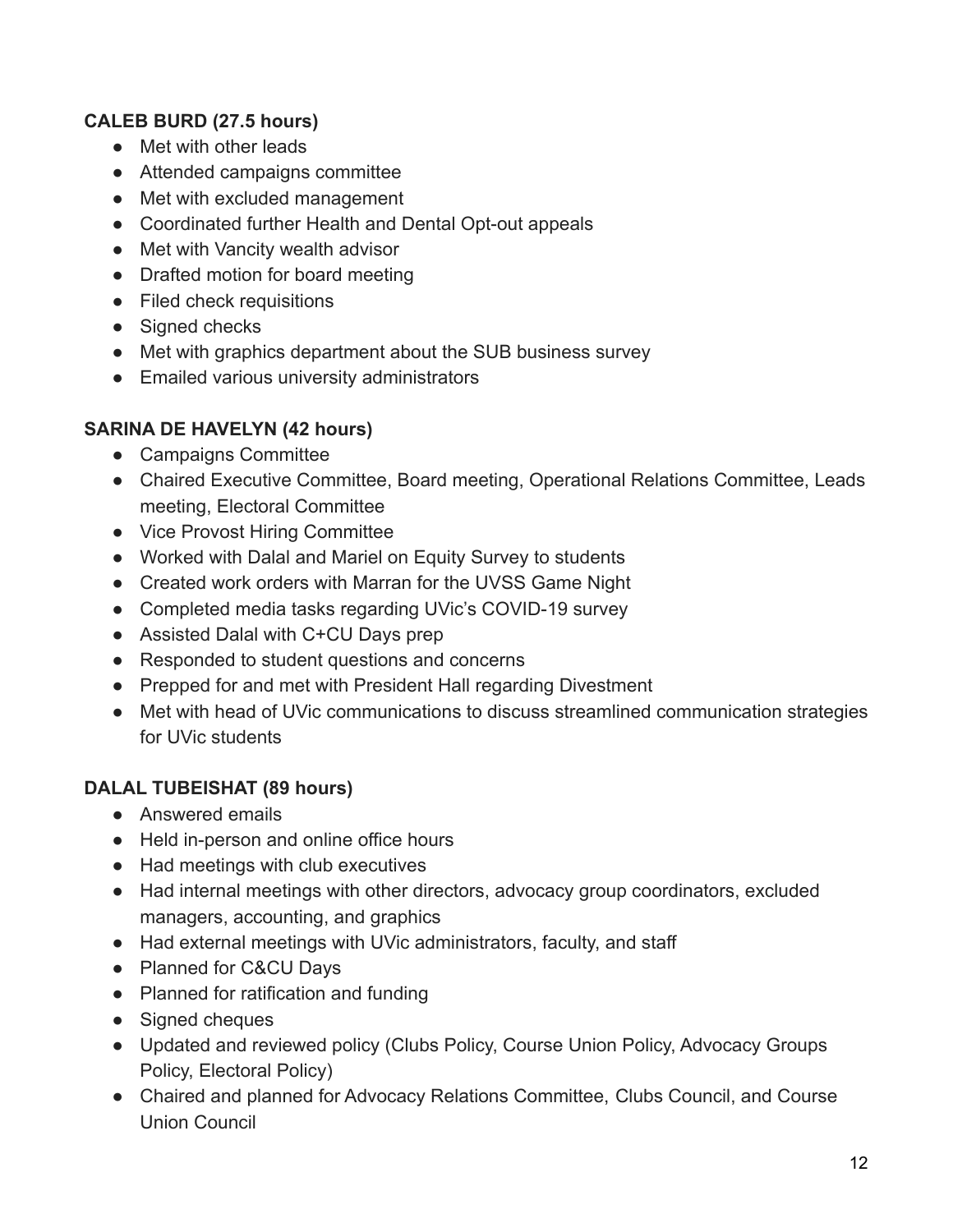# **CALEB BURD (27.5 hours)**

- Met with other leads
- Attended campaigns committee
- Met with excluded management
- Coordinated further Health and Dental Opt-out appeals
- Met with Vancity wealth advisor
- Drafted motion for board meeting
- Filed check requisitions
- Signed checks
- Met with graphics department about the SUB business survey
- Emailed various university administrators

## **SARINA DE HAVELYN (42 hours)**

- Campaigns Committee
- Chaired Executive Committee, Board meeting, Operational Relations Committee, Leads meeting, Electoral Committee
- Vice Provost Hiring Committee
- Worked with Dalal and Mariel on Equity Survey to students
- Created work orders with Marran for the UVSS Game Night
- Completed media tasks regarding UVic's COVID-19 survey
- Assisted Dalal with C+CU Days prep
- Responded to student questions and concerns
- Prepped for and met with President Hall regarding Divestment
- Met with head of UVic communications to discuss streamlined communication strategies for UVic students

# **DALAL TUBEISHAT (89 hours)**

- Answered emails
- Held in-person and online office hours
- Had meetings with club executives
- Had internal meetings with other directors, advocacy group coordinators, excluded managers, accounting, and graphics
- Had external meetings with UVic administrators, faculty, and staff
- Planned for C&CU Days
- Planned for ratification and funding
- Signed cheques
- Updated and reviewed policy (Clubs Policy, Course Union Policy, Advocacy Groups Policy, Electoral Policy)
- Chaired and planned for Advocacy Relations Committee, Clubs Council, and Course Union Council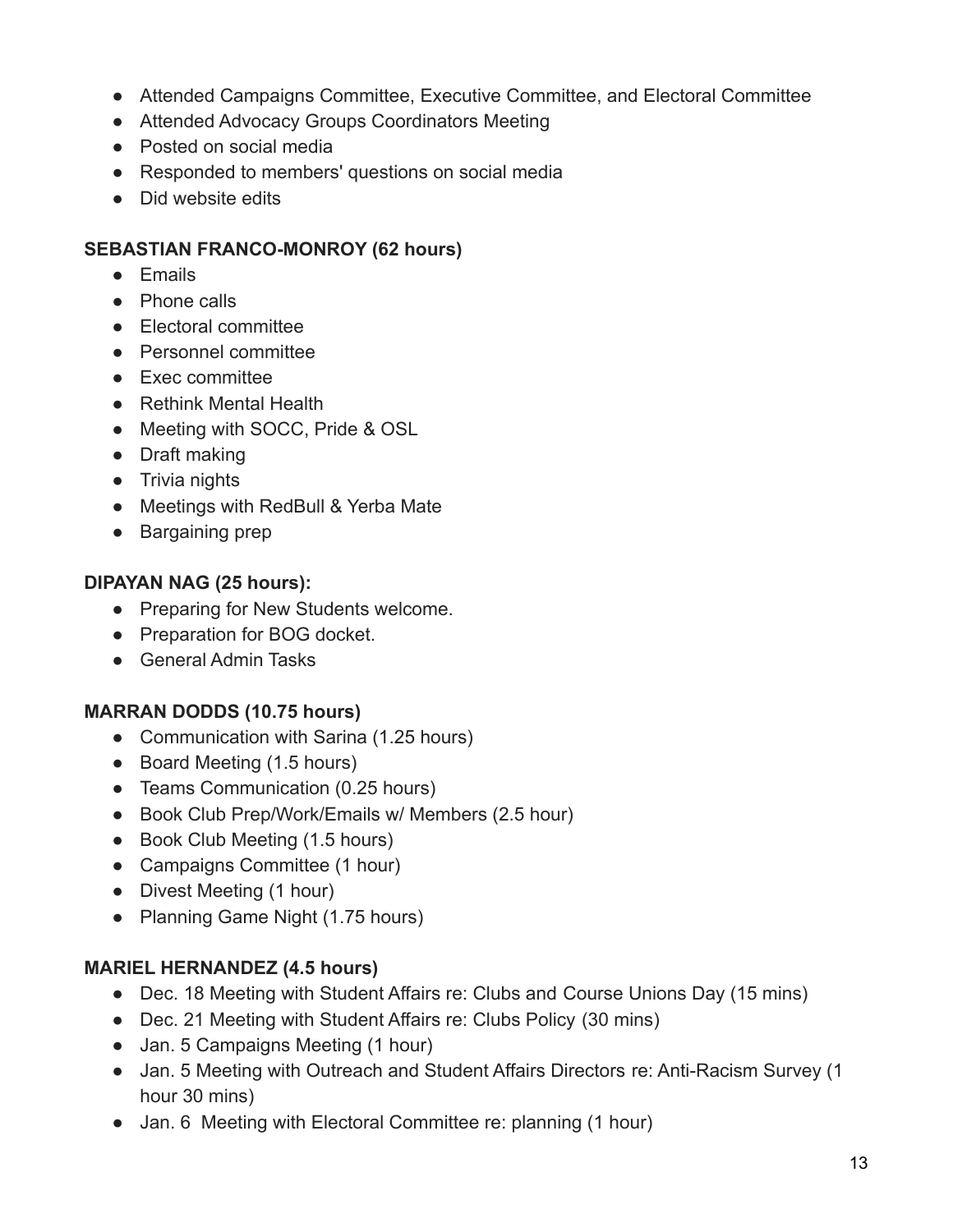- Attended Campaigns Committee, Executive Committee, and Electoral Committee
- Attended Advocacy Groups Coordinators Meeting
- Posted on social media
- Responded to members' questions on social media
- Did website edits

## **SEBASTIAN FRANCO-MONROY (62 hours)**

- Emails
- Phone calls
- Electoral committee
- Personnel committee
- Exec committee
- Rethink Mental Health
- Meeting with SOCC, Pride & OSL
- Draft making
- Trivia nights
- Meetings with RedBull & Yerba Mate
- Bargaining prep

## **DIPAYAN NAG (25 hours):**

- Preparing for New Students welcome.
- Preparation for BOG docket.
- General Admin Tasks

# **MARRAN DODDS (10.75 hours)**

- Communication with Sarina (1.25 hours)
- Board Meeting (1.5 hours)
- Teams Communication (0.25 hours)
- Book Club Prep/Work/Emails w/ Members (2.5 hour)
- Book Club Meeting (1.5 hours)
- Campaigns Committee (1 hour)
- Divest Meeting (1 hour)
- Planning Game Night (1.75 hours)

# **MARIEL HERNANDEZ (4.5 hours)**

- Dec. 18 Meeting with Student Affairs re: Clubs and Course Unions Day (15 mins)
- Dec. 21 Meeting with Student Affairs re: Clubs Policy (30 mins)
- Jan. 5 Campaigns Meeting (1 hour)
- Jan. 5 Meeting with Outreach and Student Affairs Directors re: Anti-Racism Survey (1) hour 30 mins)
- Jan. 6 Meeting with Electoral Committee re: planning (1 hour)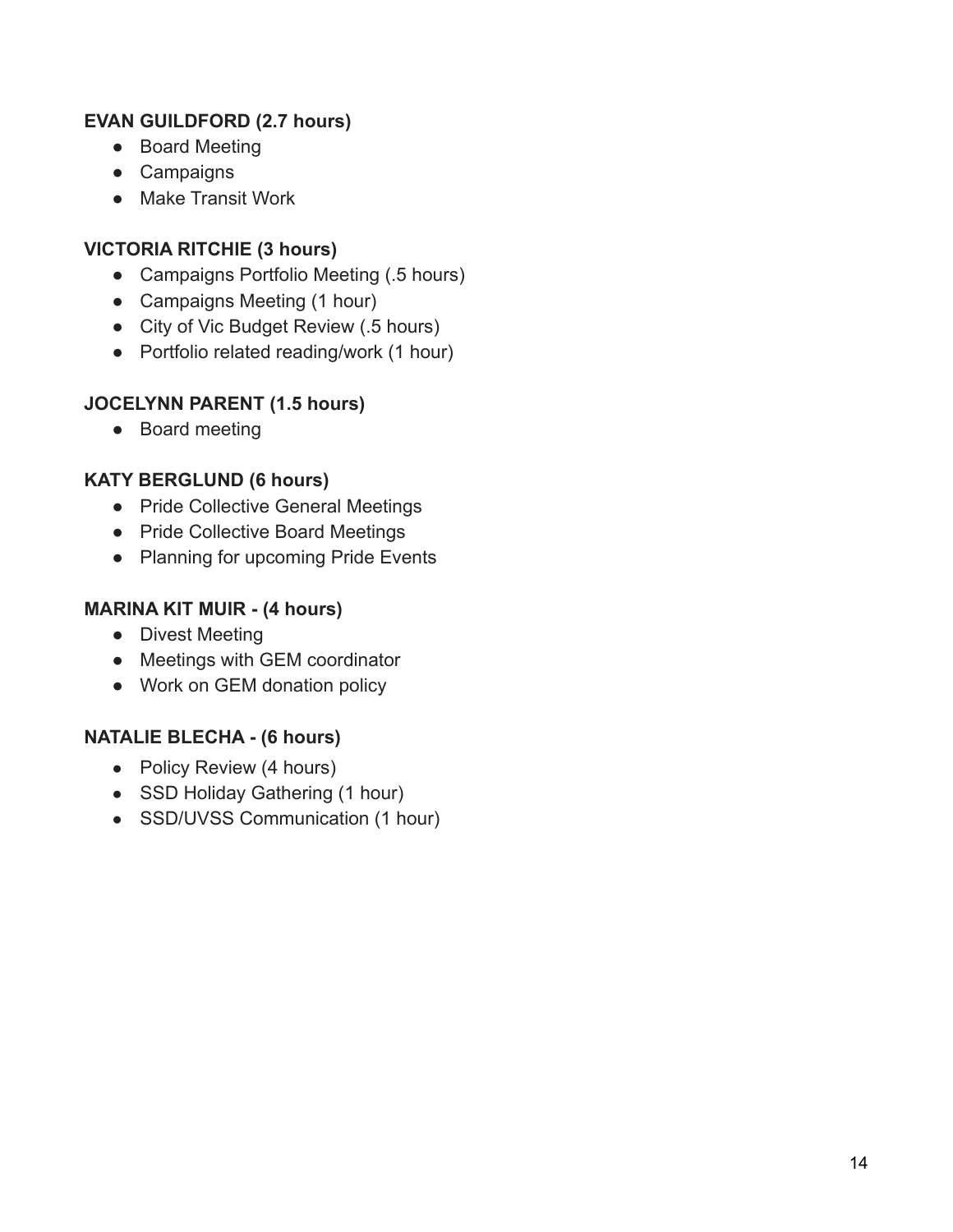# **EVAN GUILDFORD (2.7 hours)**

- Board Meeting
- Campaigns
- Make Transit Work

## **VICTORIA RITCHIE (3 hours)**

- Campaigns Portfolio Meeting (.5 hours)
- Campaigns Meeting (1 hour)
- City of Vic Budget Review (.5 hours)
- Portfolio related reading/work (1 hour)

## **JOCELYNN PARENT (1.5 hours)**

● Board meeting

## **KATY BERGLUND (6 hours)**

- Pride Collective General Meetings
- Pride Collective Board Meetings
- Planning for upcoming Pride Events

# **MARINA KIT MUIR - (4 hours)**

- Divest Meeting
- Meetings with GEM coordinator
- Work on GEM donation policy

#### **NATALIE BLECHA - (6 hours)**

- Policy Review (4 hours)
- SSD Holiday Gathering (1 hour)
- SSD/UVSS Communication (1 hour)